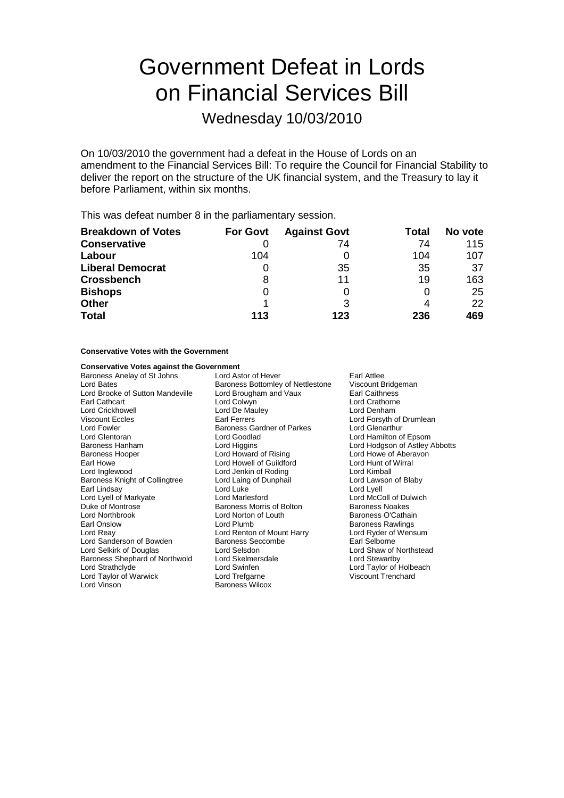# Government Defeat in Lords on Financial Services Bill

Wednesday 10/03/2010

On 10/03/2010 the government had a defeat in the House of Lords on an amendment to the Financial Services Bill: To require the Council for Financial Stability to deliver the report on the structure of the UK financial system, and the Treasury to lay it before Parliament, within six months.

This was defeat number 8 in the parliamentary session.

| <b>Breakdown of Votes</b> | <b>For Govt</b> | <b>Against Govt</b> | Total | No vote |
|---------------------------|-----------------|---------------------|-------|---------|
| <b>Conservative</b>       |                 | 74                  | 74    | 115     |
| Labour                    | 104             |                     | 104   | 107     |
| <b>Liberal Democrat</b>   |                 | 35                  | 35    | 37      |
| <b>Crossbench</b>         |                 | 11                  | 19    | 163     |
| <b>Bishops</b>            |                 |                     |       | 25      |
| <b>Other</b>              |                 | 3                   |       | 22      |
| <b>Total</b>              | 113             | 123                 | 236   | 469     |

### **Conservative Votes with the Government**

| <b>Conservative Votes against the Government</b> |                                          |                                |  |
|--------------------------------------------------|------------------------------------------|--------------------------------|--|
| Baroness Anelay of St Johns                      | Lord Astor of Hever                      | Earl Attlee                    |  |
| Lord Bates                                       | <b>Baroness Bottomley of Nettlestone</b> | Viscount Bridgeman             |  |
| Lord Brooke of Sutton Mandeville                 | Lord Brougham and Vaux                   | Earl Caithness                 |  |
| Earl Cathcart                                    | Lord Colwyn                              | Lord Crathorne                 |  |
| Lord Crickhowell                                 | Lord De Mauley                           | Lord Denham                    |  |
| <b>Viscount Eccles</b>                           | <b>Earl Ferrers</b>                      | Lord Forsyth of Drumlean       |  |
| Lord Fowler                                      | <b>Baroness Gardner of Parkes</b>        | Lord Glenarthur                |  |
| Lord Glentoran                                   | Lord Goodlad                             | Lord Hamilton of Epsom         |  |
| <b>Baroness Hanham</b>                           | Lord Higgins                             | Lord Hodgson of Astley Abbotts |  |
| <b>Baroness Hooper</b>                           | Lord Howard of Rising                    | Lord Howe of Aberavon          |  |
| Earl Howe                                        | Lord Howell of Guildford                 | Lord Hunt of Wirral            |  |
| Lord Inglewood                                   | Lord Jenkin of Roding                    | Lord Kimball                   |  |
| Baroness Knight of Collingtree                   | Lord Laing of Dunphail                   | Lord Lawson of Blaby           |  |
| Earl Lindsay                                     | Lord Luke                                | Lord Lyell                     |  |
| Lord Lyell of Markyate                           | Lord Marlesford                          | Lord McColl of Dulwich         |  |
| Duke of Montrose                                 | Baroness Morris of Bolton                | <b>Baroness Noakes</b>         |  |
| <b>Lord Northbrook</b>                           | Lord Norton of Louth                     | Baroness O'Cathain             |  |
| Earl Onslow                                      | Lord Plumb                               | <b>Baroness Rawlings</b>       |  |
| Lord Reay                                        | Lord Renton of Mount Harry               | Lord Ryder of Wensum           |  |
| Lord Sanderson of Bowden                         | Baroness Seccombe                        | Earl Selborne                  |  |
| Lord Selkirk of Douglas                          | Lord Selsdon                             | Lord Shaw of Northstead        |  |
| Baroness Shephard of Northwold                   | Lord Skelmersdale                        | Lord Stewartby                 |  |
| Lord Strathclyde                                 | Lord Swinfen                             | Lord Taylor of Holbeach        |  |
| Lord Taylor of Warwick                           | Lord Trefgarne                           | <b>Viscount Trenchard</b>      |  |
| Lord Vinson                                      | Baroness Wilcox                          |                                |  |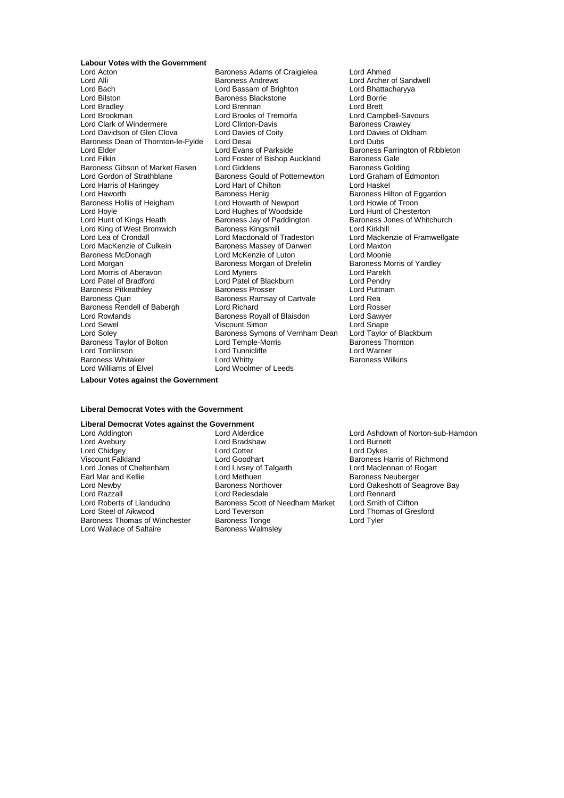**Labour Votes with the Government**

Lord Alli Baroness Andrews Lord Archer of Sandwell<br>
Lord Bach Lord Bassam of Brighton Lord Bhattacharyya Lord Bach Lord Bassam of Brighton Lord Bhatta<br>
Lord Bach Lord Bhatta<br>
Lord Bilston Baroness Blackstone Lord Borrie Lord Bilston **Baroness Blackstone** Exercise Cord Borrie<br>
Lord Brent Lord Brent Lord Brent Lord Brent Lord Brett Lord Bradley Lord Brennan Lord Brett Lord Clark of Windermere **Lord Clinton-Davis Clark Clark Clinton-Davis** Baroness Crawley<br>
Lord Davidson of Glen Clova Lord Davies of Coity Lord Davies of Oldham Lord Davidson of Glen Clova Lord Davies of Coity<br>Baroness Dean of Thornton-le-Fylde Lord Desai Lord Dubs Baroness Dean of Thornton-le-Fylde Lord Desai<br>Lord Elder Lord Desai Lord Elder Lord Lord Elder Lord Elder Lord Evans of Parkside Baroness Farrington of Ribbleton<br>Lord Elder Lord Evans of Parkside Baroness Farrington of Ribbleton<br>Lord Foster of Bishop Auckland Baroness Gale Baroness Gibson of Market Rasen Lord Giddens<br>
Lord Gordon of Strathblane Baroness Gould of Potternewton Lord Graham of Edmonton Lord Gordon of Strathblane Baroness Gould of Potternewton Lord Graham<br>
Lord Harris of Haringey Lord Hart of Chilton Lord Haskel Lord Harris of Haringey **Lord Hart of Chilton**<br>
Lord Haworth **Chilton** Baroness Henig Baroness Hollis of Heigham Lord Howarth of Newport Lord Howie of Troon<br>
Lord Hoyle Lord Hunt of Chesterton Lord Hunt of Kings Heath **Baroness Jay of Paddington** Baroness Jones of Whitchurch<br>
Baroness Kings and Baroness Kingsmill<br>
Lord Kirkhill Lord King of West Bromwich Baroness Kingsmill<br>
Lord Lea of Crondall Lord Macdonald of Tradeston Lord Lea of Crondall Lord Macdonald of Tradeston Lord Mackenzie of Framwellgate Lord MacKenzie of Culkein **Baroness Massey of Darwen** Lord Maxton<br>Baroness McDonagh **Baroness Lord McKenzie of Luton** Lord Moonie Baroness McDonagh Lord McKenzie of Luton Lord Moonie Lord Morris of Aberavon Lord Myners Lord Parekh Baroness Pitkeathley **Baroness Prosser** Cord Puttoness Prosser<br>Baroness Cuin Baroness Ramsay of Cartyale Lord Rea Baroness Rendell of Babergh Lord Richard Lord Richard Lord Rosser<br>
Lord Rosser<br>
Lord Rowlands Baroness Royall of Blaisdon Lord Sawyer Lord Sewel **Communist Communist Communist Communist Communist Communist Communist Communist Communist Communist Communist Communist Communist Communist Communist Communist Communist Communist Communist Communist Communist** Baroness Taylor of Bolton Lord Temple-Morris Baroness Thornton Baroness Thornton Lord Temple-Morris Corp Baroness Th<br>
Lord Tomlinson Lord Tunnicliffe Lord Lord Warner Baroness Whitaker<br>Lord Williams of Elvel

Lord Acton **Calcular Baroness Adams of Craigielea** Lord Ahmed<br>Lord Alli **Baroness Andrews** Lord Archer (Lord Archer Lord Brooks of Tremorfa Lord Campbell-Savours Cremorfa Lord Campbell-Savours Crawley Lord Foster of Bishop Auckland Baroness Gale<br>
Lord Giddens Baroness Golding Baroness Henig<br>
Lord Howarth of Newport<br>
Lord Howie of Troon Lord Hughes of Woodside **Baroness Morgan of Drefelin Baroness Morgan Strates In Angle Strates Area Horris Morgan Baroness Morgan Baroness Morgan Baroness Morgan Baroness Morgan Baroness Morgan Baroness Morgan Baroness Morgan Baroness Morgan Baron** Lord Patel of Blackburn Lord Pendry<br>
Baroness Prosser Cord Puttnam Baroness Ramsay of Cartvale Lord Rea<br>Lord Richard Lord Rosser Exaroness Royall of Blaisdon Lord Sawyer<br>
Viscount Simon<br>
Lord Snape Baroness Symons of Vernham Dean Lord Taylor of Black<br>Lord Temple-Morris Baroness Thornton Lord Tunnicliffe **Lord Warner**<br>
Lord Whitty **Lord Warner**<br>
Baroness Wilkins Lord Woolmer of Leeds

**Labour Votes against the Government**

#### **Liberal Democrat Votes with the Government**

## **Liberal Democrat Votes against the Government**

Lord Chidgey<br>Viscount Falkland Lord Jones of Cheltenham Lord Livsey of Tarl Mar and Kellie Lord Wallace of Saltaire

Lord Addington Lord Alderdice Lord Ashdown of Norton-sub-Hamdon Lord Avebury Lord Bradshaw Lord Burnett Lord Goodhart<br>
Lord Livsey of Talgarth Lord Maclennan of Rogart Earl Mar and Kellie **Early Accord Methuen** Lord Methuen **Baroness Neuberger**<br>
Lord Newby **Baroness Northover** Lord Oakeshott of Se Lord Newby Research Mathematics Cord Oakeshott of Seagrove Bay<br>
Lord Razzall **Baroness Northover** Lord Cakeshott of Seagrove Bay<br>
Lord Razzall Lord Razzall **Lord Redesdale** Lord Rennard<br>
Lord Roberts of Llandudno **Baroness Scott of Needham Market** Lord Smith of Clifton Lord Roberts of Llandudno<br>
Lord Steel of Aikwood<br>
Lord Teverson<br>
Lord Steel of Aikwood Lord Teverson Lord Thomas of Gresford<br>
Baroness Tonge Lord Tyler Baroness Thomas of Winchester Baroness Tonge Lord Tyler<br>
Lord Tyler<br>
Lord Wallace of Saltaire Baroness Walmslev